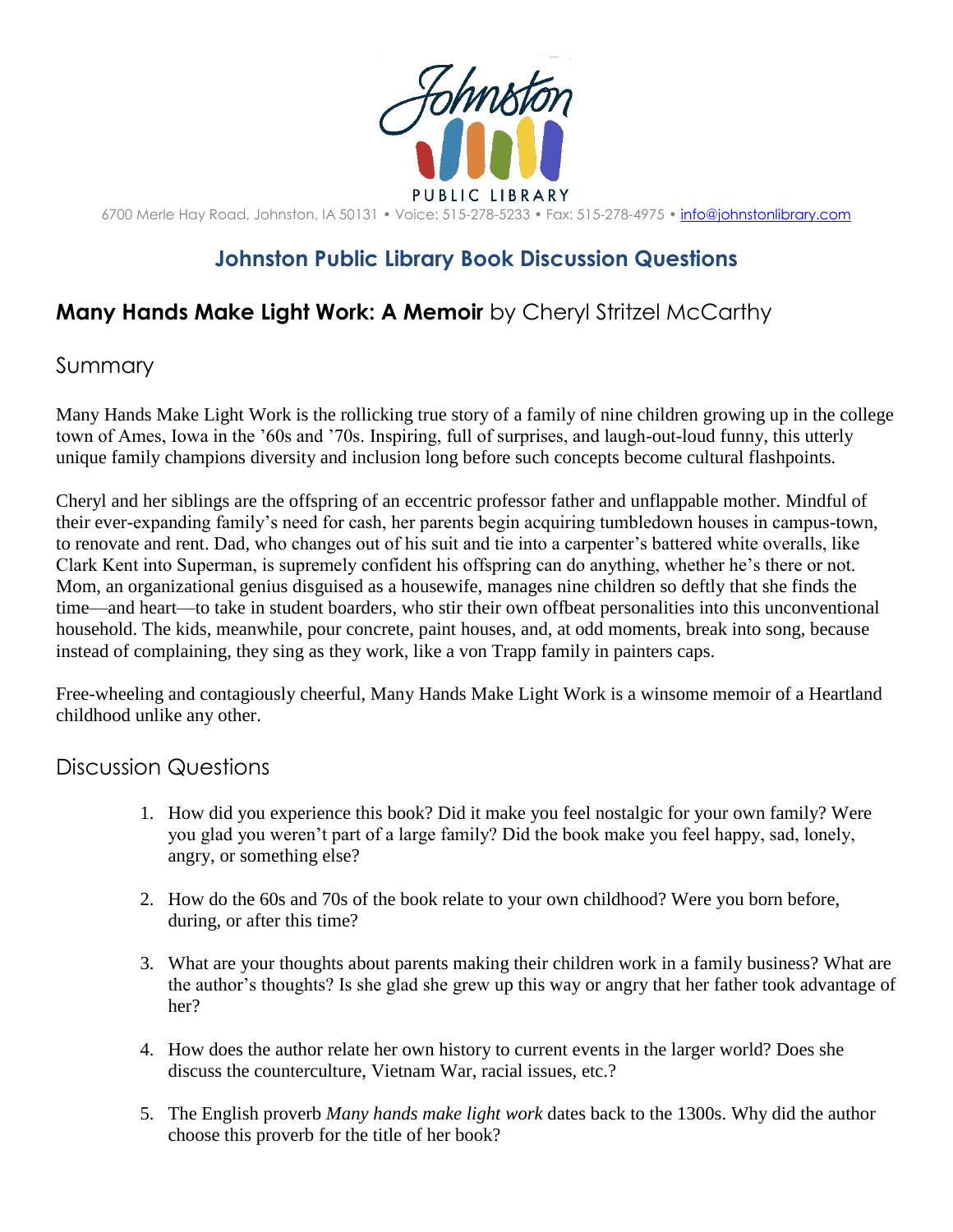

6700 Merle Hay Road, Johnston, IA 50131 • Voice: 515-278-5233 • Fax: 515-278-4975 • [info@johnstonlibrary.com](mailto:info@johnstonlibrary.com)

## **Johnston Public Library Book Discussion Questions**

## **Many Hands Make Light Work: A Memoir** by Cheryl Stritzel McCarthy

## Summary

Many Hands Make Light Work is the rollicking true story of a family of nine children growing up in the college town of Ames, Iowa in the '60s and '70s. Inspiring, full of surprises, and laugh-out-loud funny, this utterly unique family champions diversity and inclusion long before such concepts become cultural flashpoints.

Cheryl and her siblings are the offspring of an eccentric professor father and unflappable mother. Mindful of their ever-expanding family's need for cash, her parents begin acquiring tumbledown houses in campus-town, to renovate and rent. Dad, who changes out of his suit and tie into a carpenter's battered white overalls, like Clark Kent into Superman, is supremely confident his offspring can do anything, whether he's there or not. Mom, an organizational genius disguised as a housewife, manages nine children so deftly that she finds the time—and heart—to take in student boarders, who stir their own offbeat personalities into this unconventional household. The kids, meanwhile, pour concrete, paint houses, and, at odd moments, break into song, because instead of complaining, they sing as they work, like a von Trapp family in painters caps.

Free-wheeling and contagiously cheerful, Many Hands Make Light Work is a winsome memoir of a Heartland childhood unlike any other.

## Discussion Questions

- 1. How did you experience this book? Did it make you feel nostalgic for your own family? Were you glad you weren't part of a large family? Did the book make you feel happy, sad, lonely, angry, or something else?
- 2. How do the 60s and 70s of the book relate to your own childhood? Were you born before, during, or after this time?
- 3. What are your thoughts about parents making their children work in a family business? What are the author's thoughts? Is she glad she grew up this way or angry that her father took advantage of her?
- 4. How does the author relate her own history to current events in the larger world? Does she discuss the counterculture, Vietnam War, racial issues, etc.?
- 5. The English proverb *Many hands make light work* dates back to the 1300s. Why did the author choose this proverb for the title of her book?